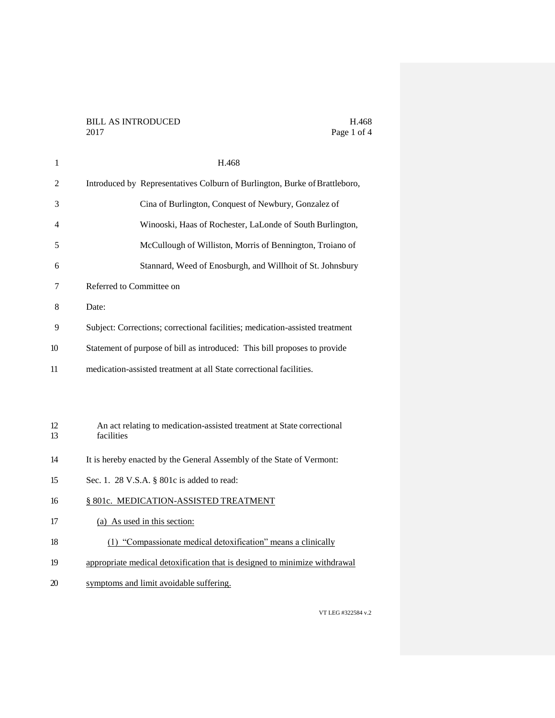H.468 Page 1 of 4

| 1        | H.468                                                                                |  |
|----------|--------------------------------------------------------------------------------------|--|
| 2        | Introduced by Representatives Colburn of Burlington, Burke of Brattleboro,           |  |
| 3        | Cina of Burlington, Conquest of Newbury, Gonzalez of                                 |  |
| 4        | Winooski, Haas of Rochester, LaLonde of South Burlington,                            |  |
| 5        | McCullough of Williston, Morris of Bennington, Troiano of                            |  |
| 6        | Stannard, Weed of Enosburgh, and Willhoit of St. Johnsbury                           |  |
| 7        | Referred to Committee on                                                             |  |
| 8        | Date:                                                                                |  |
| 9        | Subject: Corrections; correctional facilities; medication-assisted treatment         |  |
| 10       | Statement of purpose of bill as introduced: This bill proposes to provide            |  |
| 11       | medication-assisted treatment at all State correctional facilities.                  |  |
|          |                                                                                      |  |
|          |                                                                                      |  |
| 12<br>13 | An act relating to medication-assisted treatment at State correctional<br>facilities |  |
| 14       | It is hereby enacted by the General Assembly of the State of Vermont:                |  |
| 15       | Sec. 1. 28 V.S.A. § 801c is added to read:                                           |  |
| 16       | § 801c. MEDICATION-ASSISTED TREATMENT                                                |  |
| 17       | (a) As used in this section:                                                         |  |
| 18       | (1) "Compassionate medical detoxification" means a clinically                        |  |
| 19       | appropriate medical detoxification that is designed to minimize withdrawal           |  |
| 20       | symptoms and limit avoidable suffering.                                              |  |
|          |                                                                                      |  |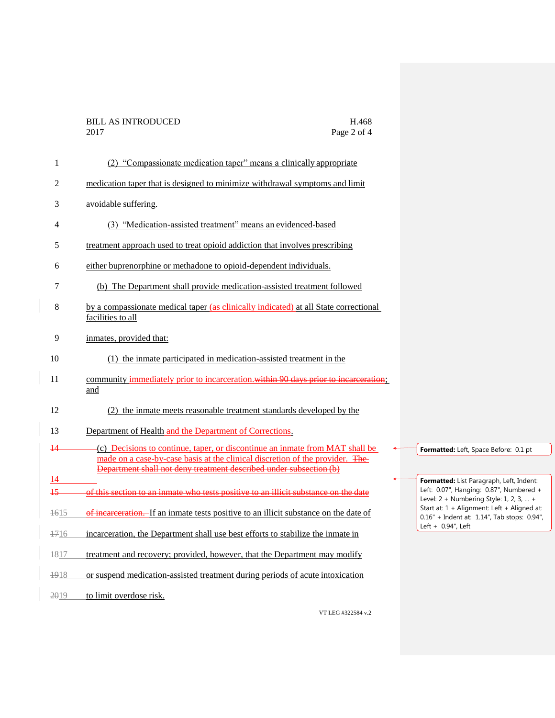| 1      | (2) "Compassionate medication taper" means a clinically appropriate                                                                                                                                                                 |                                                                                              |
|--------|-------------------------------------------------------------------------------------------------------------------------------------------------------------------------------------------------------------------------------------|----------------------------------------------------------------------------------------------|
| 2      | medication taper that is designed to minimize withdrawal symptoms and limit                                                                                                                                                         |                                                                                              |
| 3      | avoidable suffering.                                                                                                                                                                                                                |                                                                                              |
| 4      | (3) "Medication-assisted treatment" means an evidenced-based                                                                                                                                                                        |                                                                                              |
| 5      | treatment approach used to treat opioid addiction that involves prescribing                                                                                                                                                         |                                                                                              |
| 6      | either buprenorphine or methadone to opioid-dependent individuals.                                                                                                                                                                  |                                                                                              |
| 7      | (b) The Department shall provide medication-assisted treatment followed                                                                                                                                                             |                                                                                              |
| 8      | by a compassionate medical taper (as clinically indicated) at all State correctional<br>facilities to all                                                                                                                           |                                                                                              |
| 9      | inmates, provided that:                                                                                                                                                                                                             |                                                                                              |
| 10     | (1) the inmate participated in medication-assisted treatment in the                                                                                                                                                                 |                                                                                              |
| 11     | community immediately prior to incarceration. within 90 days prior to incarceration;<br>and                                                                                                                                         |                                                                                              |
| 12     | (2) the inmate meets reasonable treatment standards developed by the                                                                                                                                                                |                                                                                              |
| 13     | Department of Health and the Department of Corrections.                                                                                                                                                                             |                                                                                              |
| 44     | (c) Decisions to continue, taper, or discontinue an inmate from MAT shall be<br>made on a case-by-case basis at the clinical discretion of the provider. The-<br>Department shall not deny treatment described under subsection (b) | Formatted: Left, Space Before: 0.1 pt                                                        |
| 14     |                                                                                                                                                                                                                                     | Formatted: List Paragraph, Left, Indent:                                                     |
| $+5$   | of this section to an inmate who tests positive to an illicit substance on the date                                                                                                                                                 | Left: 0.07", Hanging: 0.87", Numbered +<br>Level: $2 +$ Numbering Style: 1, 2, 3,  +         |
| $+615$ | of incarceration. If an inmate tests positive to an illicit substance on the date of                                                                                                                                                | Start at: 1 + Alignment: Left + Aligned at:<br>$0.16"$ + Indent at: 1.14", Tab stops: 0.94", |
| 1716   | incarceration, the Department shall use best efforts to stabilize the inmate in                                                                                                                                                     | Left $+$ 0.94", Left                                                                         |
| 1817   | treatment and recovery; provided, however, that the Department may modify                                                                                                                                                           |                                                                                              |
| 1918   | or suspend medication-assisted treatment during periods of acute intoxication                                                                                                                                                       |                                                                                              |
| 2019   | to limit overdose risk.                                                                                                                                                                                                             |                                                                                              |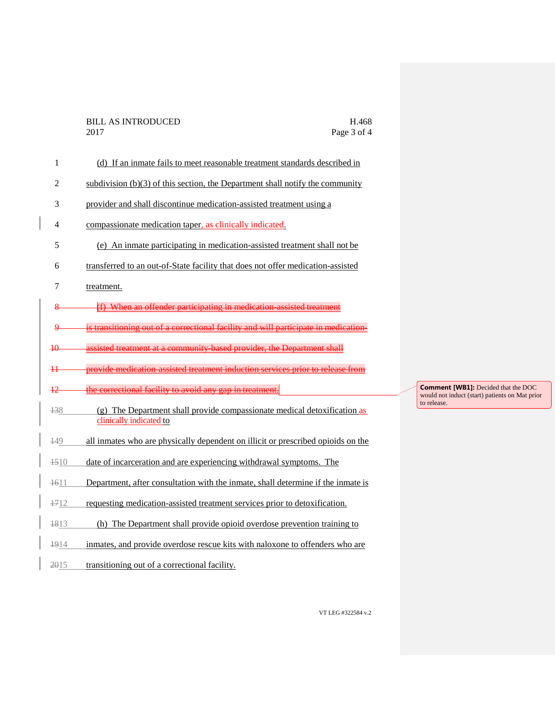| $\mathbf{1}$   | (d) If an inmate fails to meet reasonable treatment standards described in                          |
|----------------|-----------------------------------------------------------------------------------------------------|
| $\overline{2}$ | subdivision $(b)(3)$ of this section, the Department shall notify the community                     |
| 3              | provider and shall discontinue medication-assisted treatment using a                                |
| 4              | compassionate medication taper, as clinically indicated.                                            |
| 5              | (e) An inmate participating in medication-assisted treatment shall not be                           |
| 6              | transferred to an out-of-State facility that does not offer medication-assisted                     |
| 7              | treatment.                                                                                          |
| 8              | $(f)$ When an offender participating in medication assisted treatment                               |
| ٩              | is transitioning out of a correctional facility and will participate in medication                  |
| 40             | assisted treatment at a community based provider, the Department shall                              |
| 44             | provide medication assisted treatment induction services prior to release from                      |
| 12             | the correctional facility to avoid any gap in treatment.                                            |
| $+38$          | (g) The Department shall provide compassionate medical detoxification as<br>clinically indicated to |
| 149            | all inmates who are physically dependent on illicit or prescribed opioids on the                    |
| 4510           | date of incarceration and are experiencing withdrawal symptoms. The                                 |
| $+611$         | Department, after consultation with the inmate, shall determine if the inmate is                    |
| $+712$         | requesting medication-assisted treatment services prior to detoxification.                          |
| 4813           | (h) The Department shall provide opioid overdose prevention training to                             |
| 4914           | inmates, and provide overdose rescue kits with naloxone to offenders who are                        |

2015 transitioning out of a correctional facility.

**Comment [WB1]: Decided that the DOC** would not induct (start) patients on Mat prior to release.